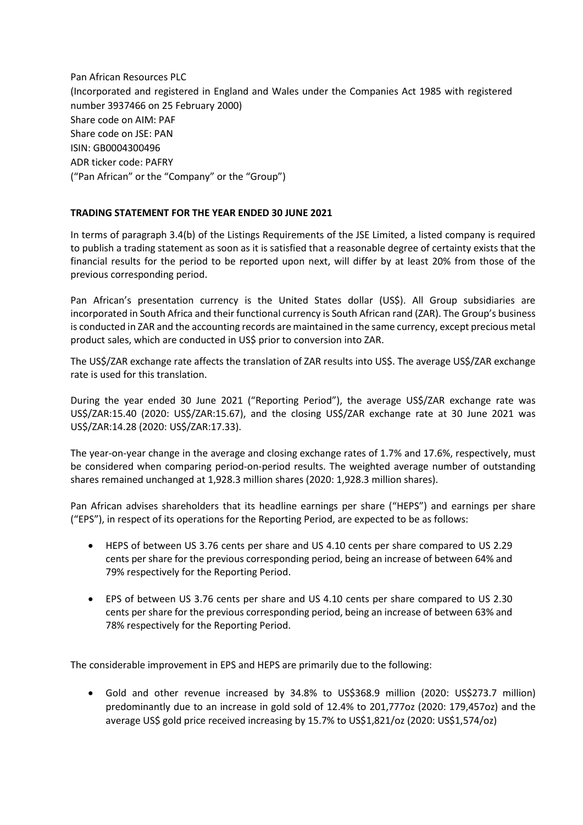Pan African Resources PLC (Incorporated and registered in England and Wales under the Companies Act 1985 with registered number 3937466 on 25 February 2000) Share code on AIM: PAF Share code on JSE: PAN ISIN: GB0004300496 ADR ticker code: PAFRY ("Pan African" or the "Company" or the "Group")

## **TRADING STATEMENT FOR THE YEAR ENDED 30 JUNE 2021**

In terms of paragraph 3.4(b) of the Listings Requirements of the JSE Limited, a listed company is required to publish a trading statement as soon as it is satisfied that a reasonable degree of certainty exists that the financial results for the period to be reported upon next, will differ by at least 20% from those of the previous corresponding period.

Pan African's presentation currency is the United States dollar (US\$). All Group subsidiaries are incorporated in South Africa and their functional currency is South African rand (ZAR). The Group's business is conducted in ZAR and the accounting records are maintained in the same currency, except precious metal product sales, which are conducted in US\$ prior to conversion into ZAR.

The US\$/ZAR exchange rate affects the translation of ZAR results into US\$. The average US\$/ZAR exchange rate is used for this translation.

During the year ended 30 June 2021 ("Reporting Period"), the average US\$/ZAR exchange rate was US\$/ZAR:15.40 (2020: US\$/ZAR:15.67), and the closing US\$/ZAR exchange rate at 30 June 2021 was US\$/ZAR:14.28 (2020: US\$/ZAR:17.33).

The year-on-year change in the average and closing exchange rates of 1.7% and 17.6%, respectively, must be considered when comparing period-on-period results. The weighted average number of outstanding shares remained unchanged at 1,928.3 million shares (2020: 1,928.3 million shares).

Pan African advises shareholders that its headline earnings per share ("HEPS") and earnings per share ("EPS"), in respect of its operations for the Reporting Period, are expected to be as follows:

- HEPS of between US 3.76 cents per share and US 4.10 cents per share compared to US 2.29 cents per share for the previous corresponding period, being an increase of between 64% and 79% respectively for the Reporting Period.
- EPS of between US 3.76 cents per share and US 4.10 cents per share compared to US 2.30 cents per share for the previous corresponding period, being an increase of between 63% and 78% respectively for the Reporting Period.

The considerable improvement in EPS and HEPS are primarily due to the following:

 Gold and other revenue increased by 34.8% to US\$368.9 million (2020: US\$273.7 million) predominantly due to an increase in gold sold of 12.4% to 201,777oz (2020: 179,457oz) and the average US\$ gold price received increasing by 15.7% to US\$1,821/oz (2020: US\$1,574/oz)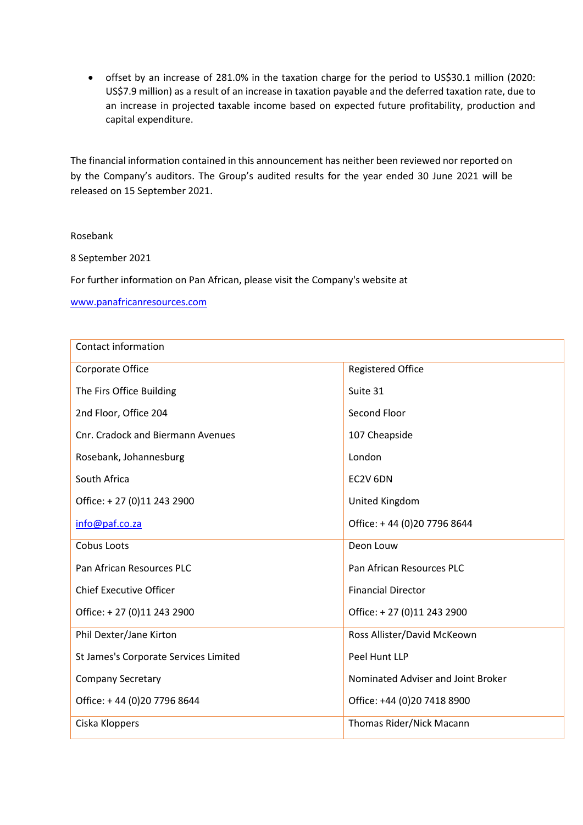offset by an increase of 281.0% in the taxation charge for the period to US\$30.1 million (2020: US\$7.9 million) as a result of an increase in taxation payable and the deferred taxation rate, due to an increase in projected taxable income based on expected future profitability, production and capital expenditure.

The financial information contained in this announcement has neither been reviewed nor reported on by the Company's auditors. The Group's audited results for the year ended 30 June 2021 will be released on 15 September 2021.

## Rosebank

8 September 2021

For further information on Pan African, please visit the Company's website at

[www.panafricanresources.com](http://www.panafricanresources.com/)

| Contact information                   |                                    |
|---------------------------------------|------------------------------------|
| Corporate Office                      | <b>Registered Office</b>           |
| The Firs Office Building              | Suite 31                           |
| 2nd Floor, Office 204                 | Second Floor                       |
| Cnr. Cradock and Biermann Avenues     | 107 Cheapside                      |
| Rosebank, Johannesburg                | London                             |
| South Africa                          | EC2V 6DN                           |
| Office: +27 (0)11 243 2900            | United Kingdom                     |
| info@paf.co.za                        | Office: +44 (0)20 7796 8644        |
| Cobus Loots                           | Deon Louw                          |
| Pan African Resources PLC             | Pan African Resources PLC          |
| <b>Chief Executive Officer</b>        | <b>Financial Director</b>          |
| Office: +27 (0)11 243 2900            | Office: +27 (0)11 243 2900         |
| Phil Dexter/Jane Kirton               | Ross Allister/David McKeown        |
| St James's Corporate Services Limited | Peel Hunt LLP                      |
| <b>Company Secretary</b>              | Nominated Adviser and Joint Broker |
| Office: +44 (0)20 7796 8644           | Office: +44 (0)20 7418 8900        |
| Ciska Kloppers                        | Thomas Rider/Nick Macann           |